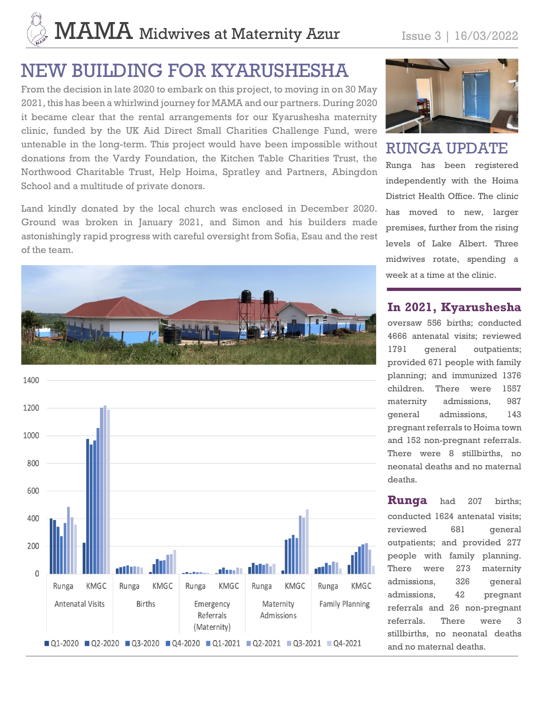# $\mathbf{MAMA}$  Midwives at Maternity Azur Issue 3 | 16/03/2022

# NEW BUILDING FOR KYARUSHESHA

From the decision in late 2020 to embark on this project, to moving in on 30 May 2021, this has been a whirlwind journey for MAMA and our partners. During 2020 it became clear that the rental arrangements for our Kyarushesha maternity clinic, funded by the UK Aid Direct Small Charities Challenge Fund, were untenable in the long-term. This project would have been impossible without donations from the Vardy Foundation, the Kitchen Table Charities Trust, the Northwood Charitable Trust, Help Hoima, Spratley and Partners, Abingdon School and a multitude of private donors.

Land kindly donated by the local church was enclosed in December 2020. Ground was broken in January 2021, and Simon and his builders made astonishingly rapid progress with careful oversight from Sofia, Esau and the rest of the team.







RUNGA UPDATE

Runga has been registered independently with the Hoima District Health Office. The clinic has moved to new, larger premises, further from the rising levels of Lake Albert. Three midwives rotate, spending a week at a time at the clinic.

#### **In 2021, Kyarushesha**

oversaw 556 births; conducted 4666 antenatal visits; reviewed 1791 general outpatients; provided 671 people with family planning; and immunized 1376 children. There were 1557 maternity admissions, 987 general admissions, 143 pregnant referrals to Hoima town and 152 non-pregnant referrals. There were 8 stillbirths, no neonatal deaths and no maternal deaths.

**Runga** had 207 births; conducted 1624 antenatal visits; reviewed 681 general outpatients; and provided 277 people with family planning. There were 273 maternity admissions, 326 general admissions, 42 pregnant referrals and 26 non-pregnant referrals. There were 3 stillbirths, no neonatal deaths and no maternal deaths.